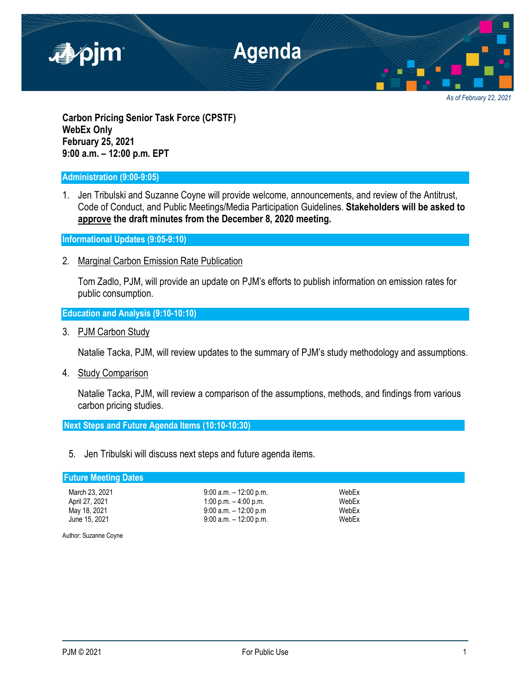

*As of February 22, 2021*

**Carbon Pricing Senior Task Force (CPSTF) WebEx Only February 25, 2021 9:00 a.m. – 12:00 p.m. EPT**

## **Administration (9:00-9:05)**

1. Jen Tribulski and Suzanne Coyne will provide welcome, announcements, and review of the Antitrust, Code of Conduct, and Public Meetings/Media Participation Guidelines. **Stakeholders will be asked to approve the draft minutes from the December 8, 2020 meeting.**

**Informational Updates (9:05-9:10)**

2. Marginal Carbon Emission Rate Publication

Tom Zadlo, PJM, will provide an update on PJM's efforts to publish information on emission rates for public consumption.

**Education and Analysis (9:10-10:10)**

3. PJM Carbon Study

Natalie Tacka, PJM, will review updates to the summary of PJM's study methodology and assumptions.

4. Study Comparison

Natalie Tacka, PJM, will review a comparison of the assumptions, methods, and findings from various carbon pricing studies.

**Next Steps and Future Agenda Items (10:10-10:30)**

5. Jen Tribulski will discuss next steps and future agenda items.

# **Future Meeting Dates**

| March 23, 2021 | $9:00$ a.m. $-12:00$ p.m |
|----------------|--------------------------|
| April 27, 2021 | 1:00 p.m. $-$ 4:00 p.m.  |
| May 18, 2021   | $9:00$ a.m. $-12:00$ p.m |
| June 15, 2021  | $9:00$ a.m. $-12:00$ p.m |

March 23, 2021 9:00 a.m. – 12:00 p.m. WebEx 9:00 a.m. – 12:00 p.m WebEx June 15, 2021 **9:00 a.m.** – 12:00 p.m. WebEx

Author: Suzanne Coyne